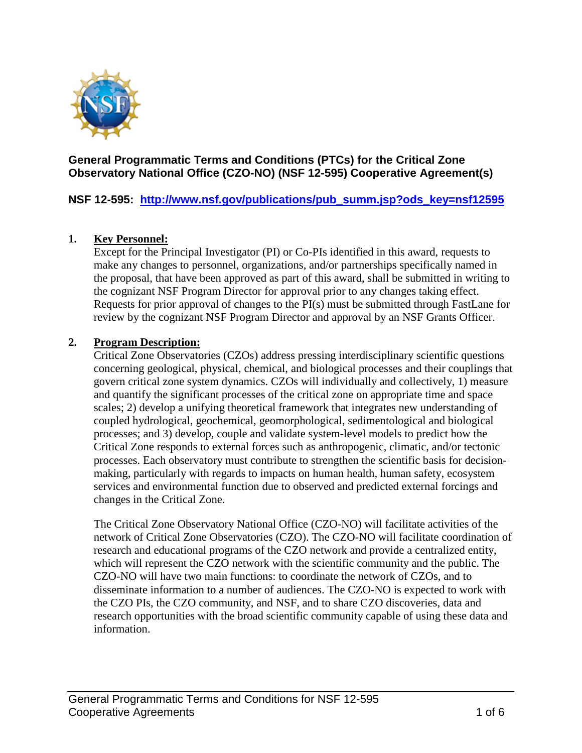

## **General Programmatic Terms and Conditions (PTCs) for the Critical Zone Observatory National Office (CZO-NO) (NSF 12-595) Cooperative Agreement(s)**

**NSF 12-595: [http://www.nsf.gov/publications/pub\\_summ.jsp?ods\\_key=nsf12595](http://www.nsf.gov/publications/pub_summ.jsp?ods_key=nsf12595)**

#### **1. Key Personnel:**

Except for the Principal Investigator (PI) or Co-PIs identified in this award, requests to make any changes to personnel, organizations, and/or partnerships specifically named in the proposal, that have been approved as part of this award, shall be submitted in writing to the cognizant NSF Program Director for approval prior to any changes taking effect. Requests for prior approval of changes to the PI(s) must be submitted through FastLane for review by the cognizant NSF Program Director and approval by an NSF Grants Officer.

#### **2. Program Description:**

Critical Zone Observatories (CZOs) address pressing interdisciplinary scientific questions concerning geological, physical, chemical, and biological processes and their couplings that govern critical zone system dynamics. CZOs will individually and collectively, 1) measure and quantify the significant processes of the critical zone on appropriate time and space scales; 2) develop a unifying theoretical framework that integrates new understanding of coupled hydrological, geochemical, geomorphological, sedimentological and biological processes; and 3) develop, couple and validate system-level models to predict how the Critical Zone responds to external forces such as anthropogenic, climatic, and/or tectonic processes. Each observatory must contribute to strengthen the scientific basis for decisionmaking, particularly with regards to impacts on human health, human safety, ecosystem services and environmental function due to observed and predicted external forcings and changes in the Critical Zone.

The Critical Zone Observatory National Office (CZO-NO) will facilitate activities of the network of Critical Zone Observatories (CZO). The CZO-NO will facilitate coordination of research and educational programs of the CZO network and provide a centralized entity, which will represent the CZO network with the scientific community and the public. The CZO-NO will have two main functions: to coordinate the network of CZOs, and to disseminate information to a number of audiences. The CZO-NO is expected to work with the CZO PIs, the CZO community, and NSF, and to share CZO discoveries, data and research opportunities with the broad scientific community capable of using these data and information.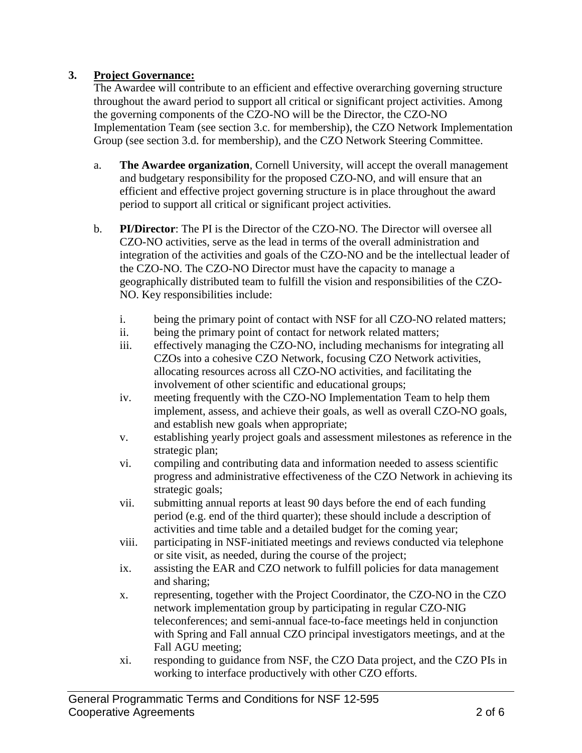# **3. Project Governance:**

The Awardee will contribute to an efficient and effective overarching governing structure throughout the award period to support all critical or significant project activities. Among the governing components of the CZO-NO will be the Director, the CZO-NO Implementation Team (see section 3.c. for membership), the CZO Network Implementation Group (see section 3.d. for membership), and the CZO Network Steering Committee.

- a. **The Awardee organization**, Cornell University, will accept the overall management and budgetary responsibility for the proposed CZO-NO, and will ensure that an efficient and effective project governing structure is in place throughout the award period to support all critical or significant project activities.
- b. **PI/Director**: The PI is the Director of the CZO-NO. The Director will oversee all CZO-NO activities, serve as the lead in terms of the overall administration and integration of the activities and goals of the CZO-NO and be the intellectual leader of the CZO-NO. The CZO-NO Director must have the capacity to manage a geographically distributed team to fulfill the vision and responsibilities of the CZO-NO. Key responsibilities include:
	- i. being the primary point of contact with NSF for all CZO-NO related matters;
	- ii. being the primary point of contact for network related matters;
	- iii. effectively managing the CZO-NO, including mechanisms for integrating all CZOs into a cohesive CZO Network, focusing CZO Network activities, allocating resources across all CZO-NO activities, and facilitating the involvement of other scientific and educational groups;
	- iv. meeting frequently with the CZO-NO Implementation Team to help them implement, assess, and achieve their goals, as well as overall CZO-NO goals, and establish new goals when appropriate;
	- v. establishing yearly project goals and assessment milestones as reference in the strategic plan;
	- vi. compiling and contributing data and information needed to assess scientific progress and administrative effectiveness of the CZO Network in achieving its strategic goals;
	- vii. submitting annual reports at least 90 days before the end of each funding period (e.g. end of the third quarter); these should include a description of activities and time table and a detailed budget for the coming year;
	- viii. participating in NSF-initiated meetings and reviews conducted via telephone or site visit, as needed, during the course of the project;
	- ix. assisting the EAR and CZO network to fulfill policies for data management and sharing;
	- x. representing, together with the Project Coordinator, the CZO-NO in the CZO network implementation group by participating in regular CZO-NIG teleconferences; and semi-annual face-to-face meetings held in conjunction with Spring and Fall annual CZO principal investigators meetings, and at the Fall AGU meeting;
	- xi. responding to guidance from NSF, the CZO Data project, and the CZO PIs in working to interface productively with other CZO efforts.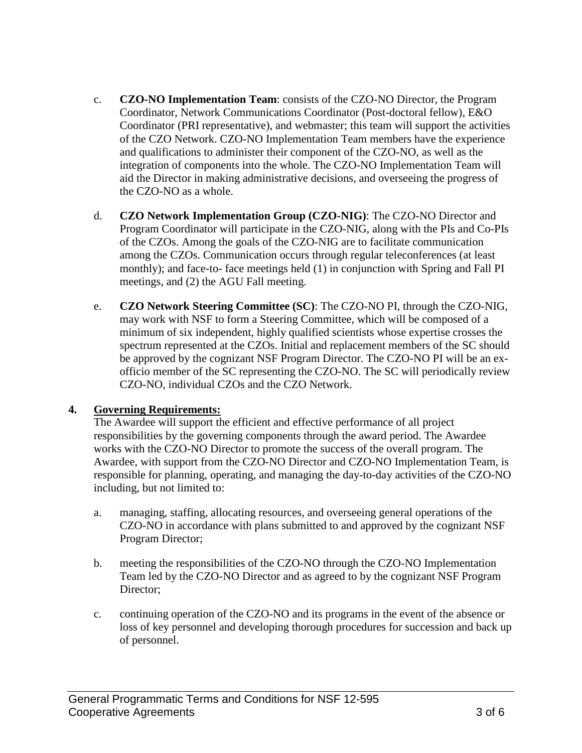- c. **CZO-NO Implementation Team**: consists of the CZO-NO Director, the Program Coordinator, Network Communications Coordinator (Post-doctoral fellow), E&O Coordinator (PRI representative), and webmaster; this team will support the activities of the CZO Network. CZO-NO Implementation Team members have the experience and qualifications to administer their component of the CZO-NO, as well as the integration of components into the whole. The CZO-NO Implementation Team will aid the Director in making administrative decisions, and overseeing the progress of the CZO-NO as a whole.
- d. **CZO Network Implementation Group (CZO-NIG)**: The CZO-NO Director and Program Coordinator will participate in the CZO-NIG, along with the PIs and Co-PIs of the CZOs. Among the goals of the CZO-NIG are to facilitate communication among the CZOs. Communication occurs through regular teleconferences (at least monthly); and face-to- face meetings held (1) in conjunction with Spring and Fall PI meetings, and (2) the AGU Fall meeting.
- e. **CZO Network Steering Committee (SC)**: The CZO-NO PI, through the CZO-NIG, may work with NSF to form a Steering Committee, which will be composed of a minimum of six independent, highly qualified scientists whose expertise crosses the spectrum represented at the CZOs. Initial and replacement members of the SC should be approved by the cognizant NSF Program Director. The CZO-NO PI will be an exofficio member of the SC representing the CZO-NO. The SC will periodically review CZO-NO, individual CZOs and the CZO Network.

#### **4. Governing Requirements:**

The Awardee will support the efficient and effective performance of all project responsibilities by the governing components through the award period. The Awardee works with the CZO-NO Director to promote the success of the overall program. The Awardee, with support from the CZO-NO Director and CZO-NO Implementation Team, is responsible for planning, operating, and managing the day-to-day activities of the CZO-NO including, but not limited to:

- a. managing, staffing, allocating resources, and overseeing general operations of the CZO-NO in accordance with plans submitted to and approved by the cognizant NSF Program Director;
- b. meeting the responsibilities of the CZO-NO through the CZO-NO Implementation Team led by the CZO-NO Director and as agreed to by the cognizant NSF Program Director;
- c. continuing operation of the CZO-NO and its programs in the event of the absence or loss of key personnel and developing thorough procedures for succession and back up of personnel.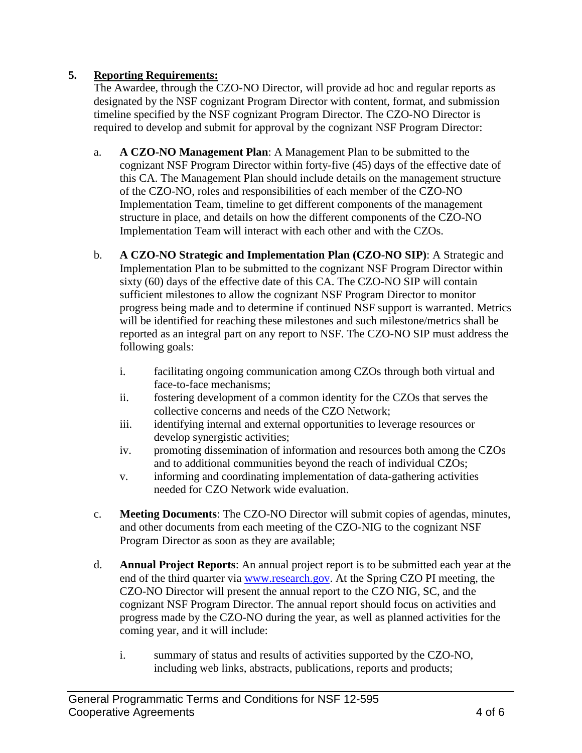# **5. Reporting Requirements:**

The Awardee, through the CZO-NO Director, will provide ad hoc and regular reports as designated by the NSF cognizant Program Director with content, format, and submission timeline specified by the NSF cognizant Program Director. The CZO-NO Director is required to develop and submit for approval by the cognizant NSF Program Director:

- a. **A CZO-NO Management Plan**: A Management Plan to be submitted to the cognizant NSF Program Director within forty-five (45) days of the effective date of this CA. The Management Plan should include details on the management structure of the CZO-NO, roles and responsibilities of each member of the CZO-NO Implementation Team, timeline to get different components of the management structure in place, and details on how the different components of the CZO-NO Implementation Team will interact with each other and with the CZOs.
- b. **A CZO-NO Strategic and Implementation Plan (CZO-NO SIP)**: A Strategic and Implementation Plan to be submitted to the cognizant NSF Program Director within sixty (60) days of the effective date of this CA. The CZO-NO SIP will contain sufficient milestones to allow the cognizant NSF Program Director to monitor progress being made and to determine if continued NSF support is warranted. Metrics will be identified for reaching these milestones and such milestone/metrics shall be reported as an integral part on any report to NSF. The CZO-NO SIP must address the following goals:
	- i. facilitating ongoing communication among CZOs through both virtual and face-to-face mechanisms;
	- ii. fostering development of a common identity for the CZOs that serves the collective concerns and needs of the CZO Network;
	- iii. identifying internal and external opportunities to leverage resources or develop synergistic activities;
	- iv. promoting dissemination of information and resources both among the CZOs and to additional communities beyond the reach of individual CZOs;
	- v. informing and coordinating implementation of data-gathering activities needed for CZO Network wide evaluation.
- c. **Meeting Documents**: The CZO-NO Director will submit copies of agendas, minutes, and other documents from each meeting of the CZO-NIG to the cognizant NSF Program Director as soon as they are available;
- d. **Annual Project Reports**: An annual project report is to be submitted each year at the end of the third quarter via [www.research.gov.](http://www.research.gov/) At the Spring CZO PI meeting, the CZO-NO Director will present the annual report to the CZO NIG, SC, and the cognizant NSF Program Director. The annual report should focus on activities and progress made by the CZO-NO during the year, as well as planned activities for the coming year, and it will include:
	- i. summary of status and results of activities supported by the CZO-NO, including web links, abstracts, publications, reports and products;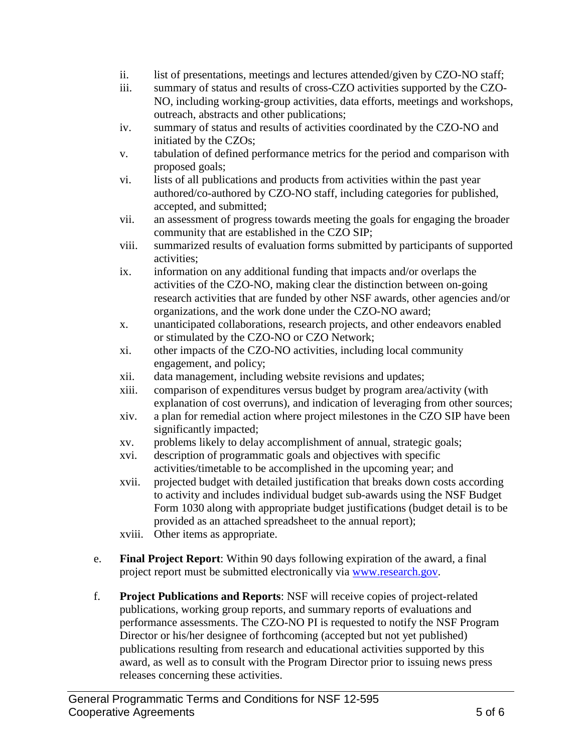- ii. list of presentations, meetings and lectures attended/given by CZO-NO staff;
- iii. summary of status and results of cross-CZO activities supported by the CZO-NO, including working-group activities, data efforts, meetings and workshops, outreach, abstracts and other publications;
- iv. summary of status and results of activities coordinated by the CZO-NO and initiated by the CZOs;
- v. tabulation of defined performance metrics for the period and comparison with proposed goals;
- vi. lists of all publications and products from activities within the past year authored/co-authored by CZO-NO staff, including categories for published, accepted, and submitted;
- vii. an assessment of progress towards meeting the goals for engaging the broader community that are established in the CZO SIP;
- viii. summarized results of evaluation forms submitted by participants of supported activities;
- ix. information on any additional funding that impacts and/or overlaps the activities of the CZO-NO, making clear the distinction between on-going research activities that are funded by other NSF awards, other agencies and/or organizations, and the work done under the CZO-NO award;
- x. unanticipated collaborations, research projects, and other endeavors enabled or stimulated by the CZO-NO or CZO Network;
- xi. other impacts of the CZO-NO activities, including local community engagement, and policy;
- xii. data management, including website revisions and updates;
- xiii. comparison of expenditures versus budget by program area/activity (with explanation of cost overruns), and indication of leveraging from other sources;
- xiv. a plan for remedial action where project milestones in the CZO SIP have been significantly impacted;
- xv. problems likely to delay accomplishment of annual, strategic goals;
- xvi. description of programmatic goals and objectives with specific activities/timetable to be accomplished in the upcoming year; and
- xvii. projected budget with detailed justification that breaks down costs according to activity and includes individual budget sub-awards using the NSF Budget Form 1030 along with appropriate budget justifications (budget detail is to be provided as an attached spreadsheet to the annual report);
- xviii. Other items as appropriate.
- e. **Final Project Report**: Within 90 days following expiration of the award, a final project report must be submitted electronically via [www.research.gov.](http://www.research.gov/)
- f. **Project Publications and Reports**: NSF will receive copies of project-related publications, working group reports, and summary reports of evaluations and performance assessments. The CZO-NO PI is requested to notify the NSF Program Director or his/her designee of forthcoming (accepted but not yet published) publications resulting from research and educational activities supported by this award, as well as to consult with the Program Director prior to issuing news press releases concerning these activities.